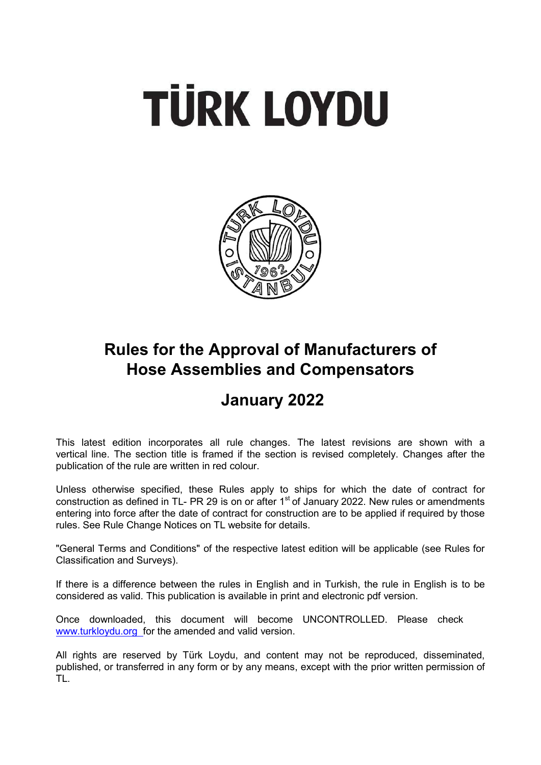# **TÜRK LOYDU**



## **Rules for the Approval of Manufacturers of Hose Assemblies and Compensators**

### **January 2022**

This latest edition incorporates all rule changes. The latest revisions are shown with a vertical line. The section title is framed if the section is revised completely. Changes after the publication of the rule are written in red colour.

Unless otherwise specified, these Rules apply to ships for which the date of contract for construction as defined in TL- PR 29 is on or after  $1<sup>st</sup>$  of January 2022. New rules or amendments entering into force after the date of contract for construction are to be applied if required by those rules. See Rule Change Notices on TL website for details.

"General Terms and Conditions" of the respective latest edition will be applicable (see Rules for Classification and Surveys).

If there is a difference between the rules in English and in Turkish, the rule in English is to be considered as valid. This publication is available in print and electronic pdf version.

Once downloaded, this document will become UNCONTROLLED. Please check www.turkloydu.org for the amended and valid version.

All rights are reserved by Türk Loydu, and content may not be reproduced, disseminated, published, or transferred in any form or by any means, except with the prior written permission of TL.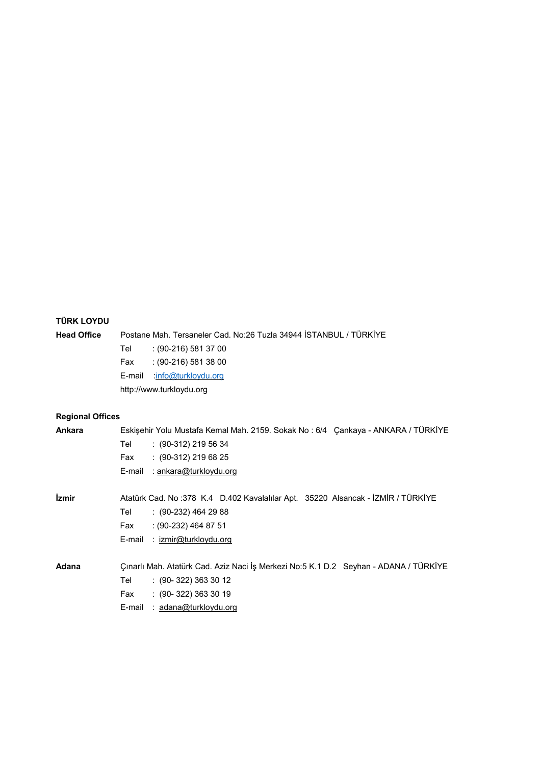#### **TÜRK LOYDU**

**Head Office** Postane Mah. Tersaneler Cad. No:26 Tuzla 34944 İSTANBUL / TÜRKİYE Tel : (90-216) 581 37 00 Fax : (90-216) 581 38 00 E-mail :info@turkloydu.org http://www.turkloydu.org

#### **Regional Offices**

| Ankara | Eskişehir Yolu Mustafa Kemal Mah. 2159. Sokak No: 6/4 Çankaya - ANKARA / TÜRKİYE     |
|--------|--------------------------------------------------------------------------------------|
|        | $: (90-312)$ 219 56 34<br>Tel                                                        |
|        | $: (90-312)$ 219 68 25<br>Fax                                                        |
|        | <u>: ankara@turkloydu.org</u><br>E-mail                                              |
| İzmir  | Atatürk Cad. No: 378 K.4 D.402 Kavalalılar Apt. 35220 Alsancak - İZMİR / TÜRKİYE     |
|        | $(90-232)$ 464 29 88<br>Tel                                                          |
|        | $(90-232)$ 464 87 51<br>Fax                                                          |
|        | : <u>izmir@turkloydu.org</u><br>E-mail                                               |
| Adana  | Çınarlı Mah. Atatürk Cad. Aziz Naci İş Merkezi No:5 K.1 D.2 Seyhan - ADANA / TÜRKİYE |
|        | $(90-322)3633012$<br>Tel                                                             |
|        | $(90-322)3633019$<br>Fax                                                             |
|        | : adana@turkloydu.org<br>E-mail                                                      |
|        |                                                                                      |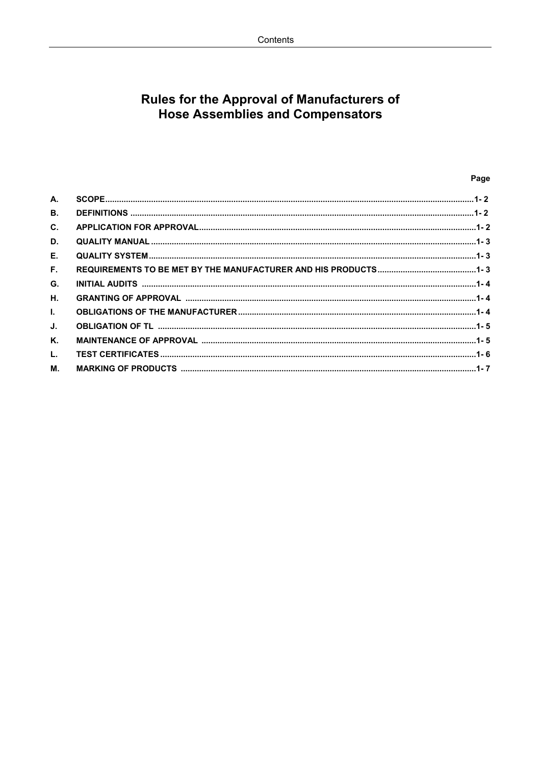# Rules for the Approval of Manufacturers of<br>Hose Assemblies and Compensators

#### Page

| A.             |  |
|----------------|--|
| <b>B.</b>      |  |
| $\mathbf{C}$ . |  |
| D.             |  |
| E.             |  |
| F.             |  |
| G.             |  |
| Н.             |  |
| $\mathbf{L}$   |  |
| J.             |  |
| Κ.             |  |
| L.             |  |
| М.             |  |
|                |  |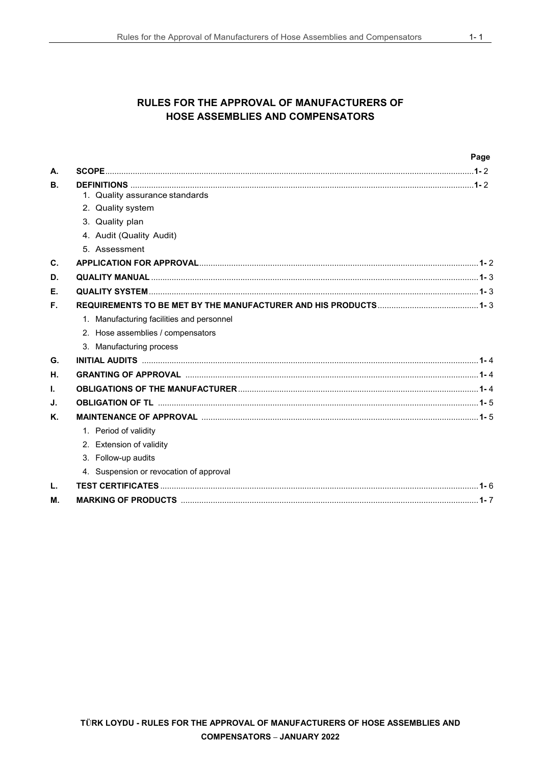#### **RULES FOR THE APPROVAL OF MANUFACTURERS OF HOSE ASSEMBLIES AND COMPENSATORS**

|    |                                                                                                      | Page |
|----|------------------------------------------------------------------------------------------------------|------|
| А. |                                                                                                      |      |
| В. |                                                                                                      |      |
|    | 1. Quality assurance standards                                                                       |      |
|    | 2. Quality system                                                                                    |      |
|    | 3. Quality plan                                                                                      |      |
|    | 4. Audit (Quality Audit)                                                                             |      |
|    | 5. Assessment                                                                                        |      |
| C. |                                                                                                      |      |
| D. |                                                                                                      |      |
| Е. |                                                                                                      |      |
| F. |                                                                                                      |      |
|    | 1. Manufacturing facilities and personnel                                                            |      |
|    | 2. Hose assemblies / compensators                                                                    |      |
|    | 3. Manufacturing process                                                                             |      |
| G. | <u>INITIAL AUDITS www.communicum.communicum.com/communicum.com/communicum.com/communicum.com/1-4</u> |      |
| Η. |                                                                                                      |      |
| I. |                                                                                                      |      |
| J. |                                                                                                      |      |
| Κ. |                                                                                                      |      |
|    | 1. Period of validity                                                                                |      |
|    | 2. Extension of validity                                                                             |      |
|    | 3. Follow-up audits                                                                                  |      |
|    | 4. Suspension or revocation of approval                                                              |      |
| L. |                                                                                                      |      |
| М. |                                                                                                      |      |
|    |                                                                                                      |      |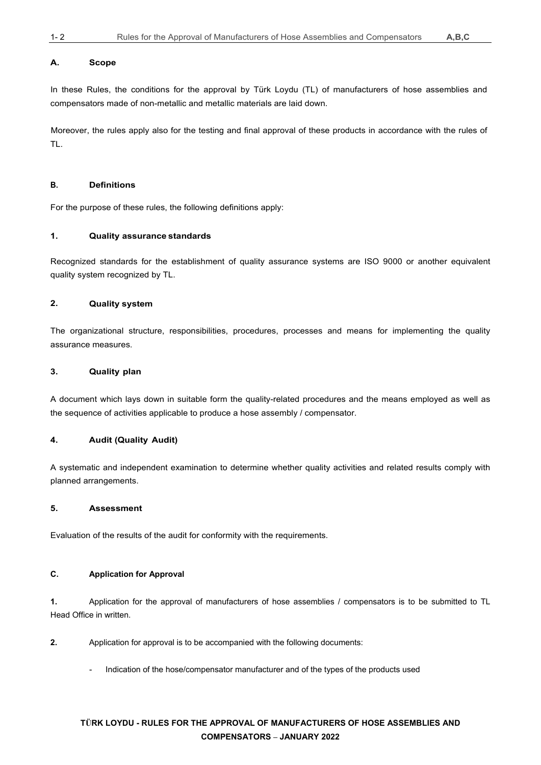#### **A. Scope**

In these Rules, the conditions for the approval by Türk Loydu (TL) of manufacturers of hose assemblies and compensators made of non-metallic and metallic materials are laid down.

Moreover, the rules apply also for the testing and final approval of these products in accordance with the rules of TL.

#### **B. Definitions**

For the purpose of these rules, the following definitions apply:

#### **1. Quality assurance standards**

Recognized standards for the establishment of quality assurance systems are ISO 9000 or another equivalent quality system recognized by TL.

#### **2. Quality system**

The organizational structure, responsibilities, procedures, processes and means for implementing the quality assurance measures.

#### **3. Quality plan**

A document which lays down in suitable form the quality-related procedures and the means employed as well as the sequence of activities applicable to produce a hose assembly / compensator.

#### **4. Audit (Quality Audit)**

A systematic and independent examination to determine whether quality activities and related results comply with planned arrangements.

#### **5. Assessment**

Evaluation of the results of the audit for conformity with the requirements.

#### **C. Application for Approval**

**1.** Application for the approval of manufacturers of hose assemblies / compensators is to be submitted to TL Head Office in written.

**2.** Application for approval is to be accompanied with the following documents:

- Indication of the hose/compensator manufacturer and of the types of the products used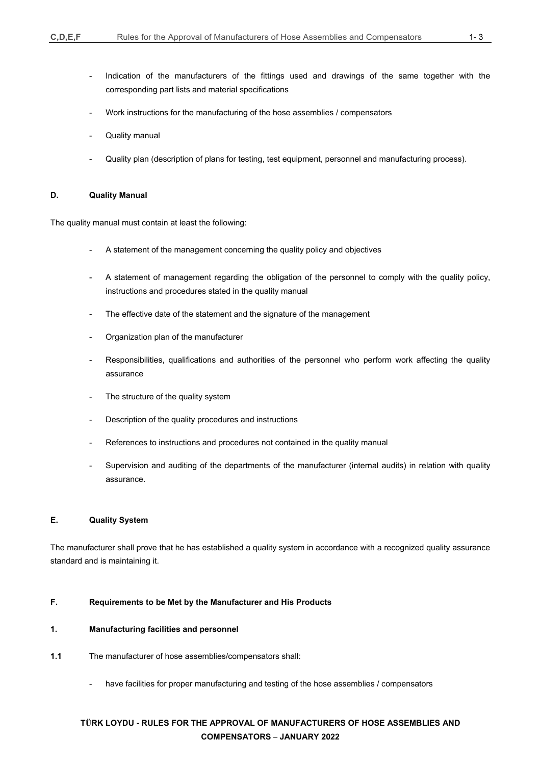- Indication of the manufacturers of the fittings used and drawings of the same together with the corresponding part lists and material specifications
- Work instructions for the manufacturing of the hose assemblies / compensators
- Quality manual
- Quality plan (description of plans for testing, test equipment, personnel and manufacturing process).

#### **D. Quality Manual**

The quality manual must contain at least the following:

- A statement of the management concerning the quality policy and objectives
- A statement of management regarding the obligation of the personnel to comply with the quality policy, instructions and procedures stated in the quality manual
- The effective date of the statement and the signature of the management
- Organization plan of the manufacturer
- Responsibilities, qualifications and authorities of the personnel who perform work affecting the quality assurance
- The structure of the quality system
- Description of the quality procedures and instructions
- References to instructions and procedures not contained in the quality manual
- Supervision and auditing of the departments of the manufacturer (internal audits) in relation with quality assurance.

#### **E. Quality System**

The manufacturer shall prove that he has established a quality system in accordance with a recognized quality assurance standard and is maintaining it.

#### **F. Requirements to be Met by the Manufacturer and His Products**

#### **1. Manufacturing facilities and personnel**

- **1.1** The manufacturer of hose assemblies/compensators shall:
	- have facilities for proper manufacturing and testing of the hose assemblies / compensators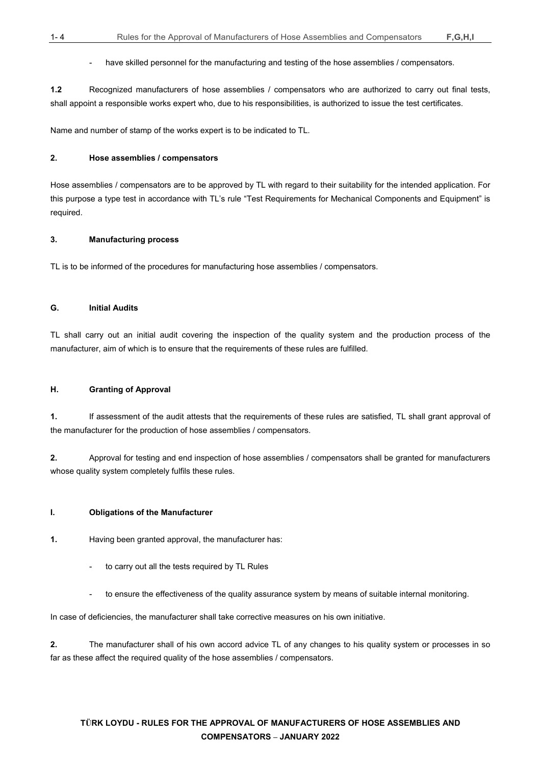have skilled personnel for the manufacturing and testing of the hose assemblies / compensators.

**1.2** Recognized manufacturers of hose assemblies / compensators who are authorized to carry out final tests, shall appoint a responsible works expert who, due to his responsibilities, is authorized to issue the test certificates.

Name and number of stamp of the works expert is to be indicated to TL.

#### **2. Hose assemblies / compensators**

Hose assemblies / compensators are to be approved by TL with regard to their suitability for the intended application. For this purpose a type test in accordance with TL's rule "Test Requirements for Mechanical Components and Equipment" is required.

#### **3. Manufacturing process**

TL is to be informed of the procedures for manufacturing hose assemblies / compensators.

#### **G. Initial Audits**

TL shall carry out an initial audit covering the inspection of the quality system and the production process of the manufacturer, aim of which is to ensure that the requirements of these rules are fulfilled.

#### **H. Granting of Approval**

**1.** If assessment of the audit attests that the requirements of these rules are satisfied, TL shall grant approval of the manufacturer for the production of hose assemblies / compensators.

**2.** Approval for testing and end inspection of hose assemblies / compensators shall be granted for manufacturers whose quality system completely fulfils these rules.

#### **I. Obligations of the Manufacturer**

**1.** Having been granted approval, the manufacturer has:

- to carry out all the tests required by TL Rules
- to ensure the effectiveness of the quality assurance system by means of suitable internal monitoring.

In case of deficiencies, the manufacturer shall take corrective measures on his own initiative.

**2.** The manufacturer shall of his own accord advice TL of any changes to his quality system or processes in so far as these affect the required quality of the hose assemblies / compensators.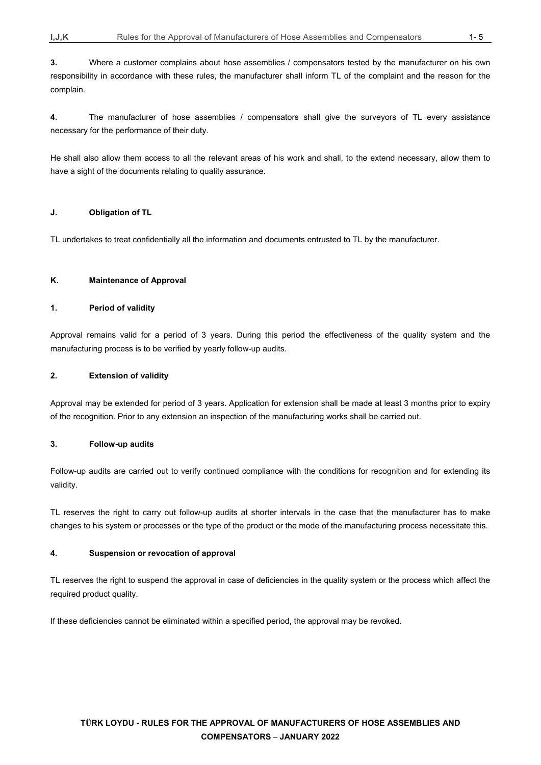**3.** Where a customer complains about hose assemblies / compensators tested by the manufacturer on his own responsibility in accordance with these rules, the manufacturer shall inform TL of the complaint and the reason for the complain.

**4.** The manufacturer of hose assemblies / compensators shall give the surveyors of TL every assistance necessary for the performance of their duty.

He shall also allow them access to all the relevant areas of his work and shall, to the extend necessary, allow them to have a sight of the documents relating to quality assurance.

#### **J. Obligation of TL**

TL undertakes to treat confidentially all the information and documents entrusted to TL by the manufacturer.

#### **K. Maintenance of Approval**

#### **1. Period of validity**

Approval remains valid for a period of 3 years. During this period the effectiveness of the quality system and the manufacturing process is to be verified by yearly follow-up audits.

#### **2. Extension of validity**

Approval may be extended for period of 3 years. Application for extension shall be made at least 3 months prior to expiry of the recognition. Prior to any extension an inspection of the manufacturing works shall be carried out.

#### **3. Follow-up audits**

Follow-up audits are carried out to verify continued compliance with the conditions for recognition and for extending its validity.

TL reserves the right to carry out follow-up audits at shorter intervals in the case that the manufacturer has to make changes to his system or processes or the type of the product or the mode of the manufacturing process necessitate this.

#### **4. Suspension or revocation of approval**

TL reserves the right to suspend the approval in case of deficiencies in the quality system or the process which affect the required product quality.

If these deficiencies cannot be eliminated within a specified period, the approval may be revoked.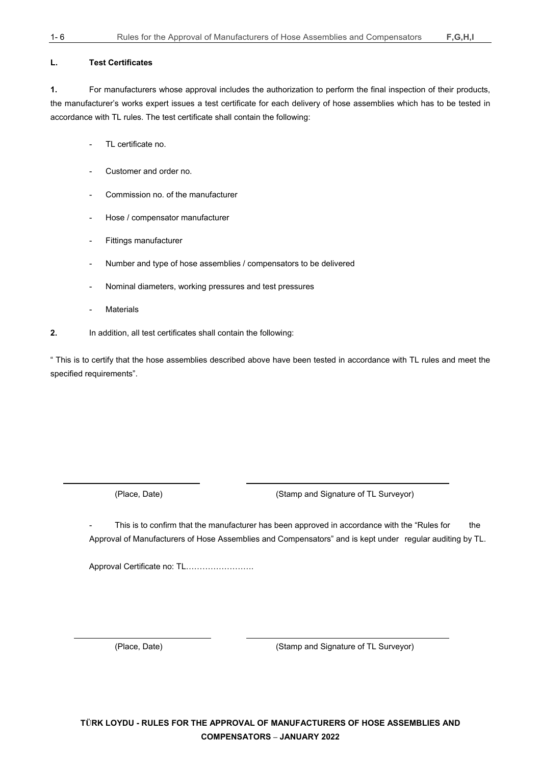#### **L. Test Certificates**

**1.** For manufacturers whose approval includes the authorization to perform the final inspection of their products, the manufacturer's works expert issues a test certificate for each delivery of hose assemblies which has to be tested in accordance with TL rules. The test certificate shall contain the following:

- TL certificate no.
- Customer and order no.
- Commission no. of the manufacturer
- Hose / compensator manufacturer
- Fittings manufacturer
- Number and type of hose assemblies / compensators to be delivered
- Nominal diameters, working pressures and test pressures
- **Materials**
- **2.** In addition, all test certificates shall contain the following:

" This is to certify that the hose assemblies described above have been tested in accordance with TL rules and meet the specified requirements".

(Place, Date) (Stamp and Signature of TL Surveyor)

This is to confirm that the manufacturer has been approved in accordance with the "Rules for the Approval of Manufacturers of Hose Assemblies and Compensators" and is kept under regular auditing by TL.

Approval Certificate no: TL…………………….

(Place, Date) (Stamp and Signature of TL Surveyor)